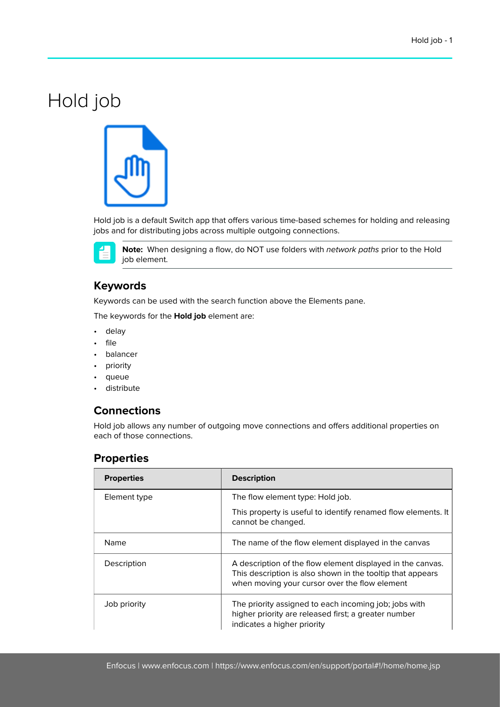# Hold job



Hold job is a default Switch app that offers various time-based schemes for holding and releasing jobs and for distributing jobs across multiple outgoing connections.



**Note:** When designing a flow, do NOT use folders with network paths prior to the Hold job element.

### **Keywords**

Keywords can be used with the search function above the Elements pane.

The keywords for the **Hold job** element are:

- delay
- file
- balancer
- priority
- queue
- distribute

#### **Connections**

Hold job allows any number of outgoing move connections and offers additional properties on each of those connections.

#### **Properties**

| <b>Properties</b> | <b>Description</b>                                                                                                                                                        |
|-------------------|---------------------------------------------------------------------------------------------------------------------------------------------------------------------------|
| Element type      | The flow element type: Hold job.                                                                                                                                          |
|                   | This property is useful to identify renamed flow elements. It<br>cannot be changed.                                                                                       |
| Name              | The name of the flow element displayed in the canvas                                                                                                                      |
| Description       | A description of the flow element displayed in the canvas.<br>This description is also shown in the tooltip that appears<br>when moving your cursor over the flow element |
| Job priority      | The priority assigned to each incoming job; jobs with<br>higher priority are released first; a greater number<br>indicates a higher priority                              |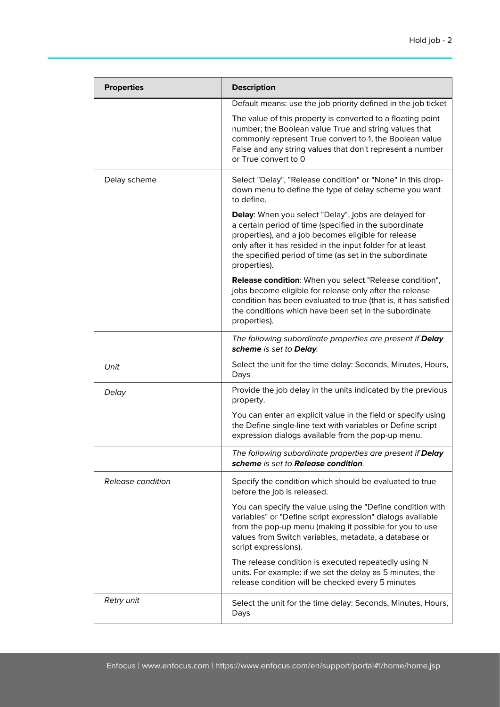| <b>Properties</b> | <b>Description</b>                                                                                                                                                                                                                                                                                             |
|-------------------|----------------------------------------------------------------------------------------------------------------------------------------------------------------------------------------------------------------------------------------------------------------------------------------------------------------|
|                   | Default means: use the job priority defined in the job ticket                                                                                                                                                                                                                                                  |
|                   | The value of this property is converted to a floating point<br>number; the Boolean value True and string values that<br>commonly represent True convert to 1, the Boolean value<br>False and any string values that don't represent a number<br>or True convert to 0                                           |
| Delay scheme      | Select "Delay", "Release condition" or "None" in this drop-<br>down menu to define the type of delay scheme you want<br>to define.                                                                                                                                                                             |
|                   | Delay: When you select "Delay", jobs are delayed for<br>a certain period of time (specified in the subordinate<br>properties), and a job becomes eligible for release<br>only after it has resided in the input folder for at least<br>the specified period of time (as set in the subordinate<br>properties). |
|                   | Release condition: When you select "Release condition",<br>jobs become eligible for release only after the release<br>condition has been evaluated to true (that is, it has satisfied<br>the conditions which have been set in the subordinate<br>properties).                                                 |
|                   | The following subordinate properties are present if Delay<br>scheme is set to Delay.                                                                                                                                                                                                                           |
| Unit              | Select the unit for the time delay: Seconds, Minutes, Hours,<br>Days                                                                                                                                                                                                                                           |
| Delay             | Provide the job delay in the units indicated by the previous<br>property.                                                                                                                                                                                                                                      |
|                   | You can enter an explicit value in the field or specify using<br>the Define single-line text with variables or Define script<br>expression dialogs available from the pop-up menu.                                                                                                                             |
|                   | The following subordinate properties are present if Delay<br>scheme is set to Release condition.                                                                                                                                                                                                               |
| Release condition | Specify the condition which should be evaluated to true<br>before the job is released.                                                                                                                                                                                                                         |
|                   | You can specify the value using the "Define condition with<br>variables" or "Define script expression" dialogs available<br>from the pop-up menu (making it possible for you to use<br>values from Switch variables, metadata, a database or<br>script expressions).                                           |
|                   | The release condition is executed repeatedly using N<br>units. For example: if we set the delay as 5 minutes, the<br>release condition will be checked every 5 minutes                                                                                                                                         |
| Retry unit        | Select the unit for the time delay: Seconds, Minutes, Hours,<br>Days                                                                                                                                                                                                                                           |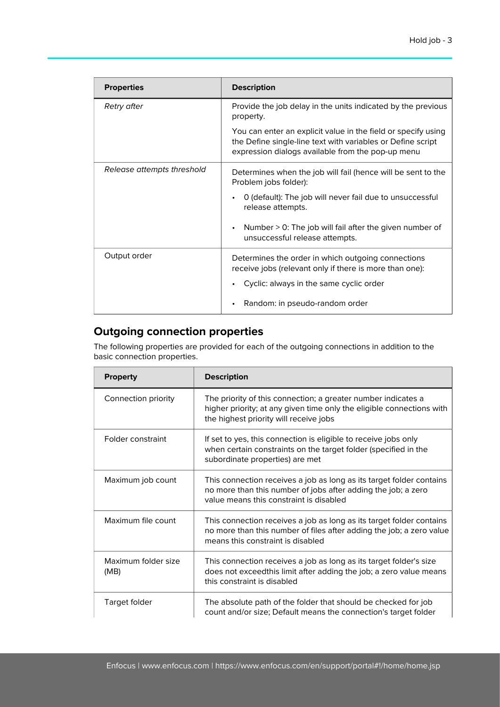| <b>Properties</b>          | <b>Description</b>                                                                                                                                                                |
|----------------------------|-----------------------------------------------------------------------------------------------------------------------------------------------------------------------------------|
| Retry after                | Provide the job delay in the units indicated by the previous<br>property.                                                                                                         |
|                            | You can enter an explicit value in the field or specify using<br>the Define single-line text with variables or Define script<br>expression dialogs available from the pop-up menu |
| Release attempts threshold | Determines when the job will fail (hence will be sent to the<br>Problem jobs folder):                                                                                             |
|                            | 0 (default): The job will never fail due to unsuccessful<br>release attempts.                                                                                                     |
|                            | Number $> 0$ : The job will fail after the given number of<br>unsuccessful release attempts.                                                                                      |
| Output order               | Determines the order in which outgoing connections<br>receive jobs (relevant only if there is more than one):                                                                     |
|                            | Cyclic: always in the same cyclic order                                                                                                                                           |
|                            | Random: in pseudo-random order                                                                                                                                                    |

## **Outgoing connection properties**

The following properties are provided for each of the outgoing connections in addition to the basic connection properties.

| <b>Property</b>             | <b>Description</b>                                                                                                                                                                |
|-----------------------------|-----------------------------------------------------------------------------------------------------------------------------------------------------------------------------------|
| Connection priority         | The priority of this connection; a greater number indicates a<br>higher priority; at any given time only the eligible connections with<br>the highest priority will receive jobs  |
| Folder constraint           | If set to yes, this connection is eligible to receive jobs only<br>when certain constraints on the target folder (specified in the<br>subordinate properties) are met             |
| Maximum job count           | This connection receives a job as long as its target folder contains<br>no more than this number of jobs after adding the job; a zero<br>value means this constraint is disabled  |
| Maximum file count          | This connection receives a job as long as its target folder contains<br>no more than this number of files after adding the job; a zero value<br>means this constraint is disabled |
| Maximum folder size<br>(MB) | This connection receives a job as long as its target folder's size<br>does not exceedthis limit after adding the job; a zero value means<br>this constraint is disabled           |
| Target folder               | The absolute path of the folder that should be checked for job<br>count and/or size; Default means the connection's target folder                                                 |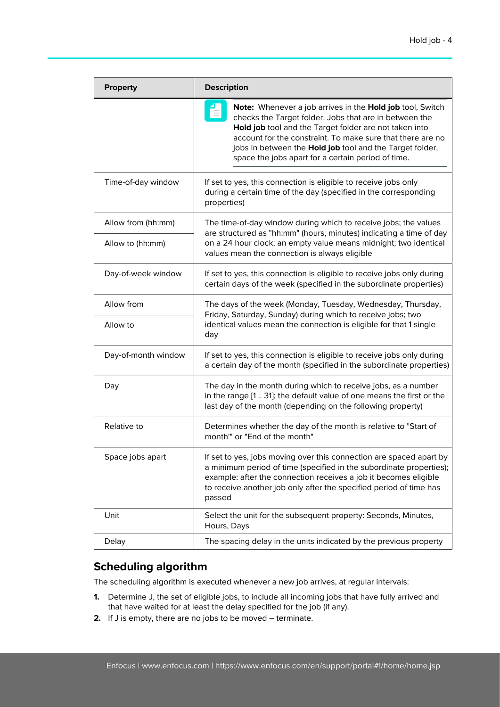| <b>Property</b>     | <b>Description</b>                                                                                                                                                                                                                                                                                                                                            |  |
|---------------------|---------------------------------------------------------------------------------------------------------------------------------------------------------------------------------------------------------------------------------------------------------------------------------------------------------------------------------------------------------------|--|
|                     | Note: Whenever a job arrives in the Hold job tool, Switch<br>checks the Target folder. Jobs that are in between the<br>Hold job tool and the Target folder are not taken into<br>account for the constraint. To make sure that there are no<br>jobs in between the Hold job tool and the Target folder,<br>space the jobs apart for a certain period of time. |  |
| Time-of-day window  | If set to yes, this connection is eligible to receive jobs only<br>during a certain time of the day (specified in the corresponding<br>properties)                                                                                                                                                                                                            |  |
| Allow from (hh:mm)  | The time-of-day window during which to receive jobs; the values<br>are structured as "hh:mm" (hours, minutes) indicating a time of day<br>on a 24 hour clock; an empty value means midnight; two identical<br>values mean the connection is always eligible                                                                                                   |  |
| Allow to (hh:mm)    |                                                                                                                                                                                                                                                                                                                                                               |  |
| Day-of-week window  | If set to yes, this connection is eligible to receive jobs only during<br>certain days of the week (specified in the subordinate properties)                                                                                                                                                                                                                  |  |
| Allow from          | The days of the week (Monday, Tuesday, Wednesday, Thursday,<br>Friday, Saturday, Sunday) during which to receive jobs; two<br>identical values mean the connection is eligible for that 1 single<br>day                                                                                                                                                       |  |
| Allow to            |                                                                                                                                                                                                                                                                                                                                                               |  |
| Day-of-month window | If set to yes, this connection is eligible to receive jobs only during<br>a certain day of the month (specified in the subordinate properties)                                                                                                                                                                                                                |  |
| Day                 | The day in the month during which to receive jobs, as a number<br>in the range [1  31]; the default value of one means the first or the<br>last day of the month (depending on the following property)                                                                                                                                                        |  |
| Relative to         | Determines whether the day of the month is relative to "Start of<br>month" or "End of the month"                                                                                                                                                                                                                                                              |  |
| Space jobs apart    | If set to yes, jobs moving over this connection are spaced apart by<br>a minimum period of time (specified in the subordinate properties);<br>example: after the connection receives a job it becomes eligible<br>to receive another job only after the specified period of time has<br>passed                                                                |  |
| Unit                | Select the unit for the subsequent property: Seconds, Minutes,<br>Hours, Days                                                                                                                                                                                                                                                                                 |  |
| Delay               | The spacing delay in the units indicated by the previous property                                                                                                                                                                                                                                                                                             |  |

## **Scheduling algorithm**

The scheduling algorithm is executed whenever a new job arrives, at regular intervals:

- **1.** Determine J, the set of eligible jobs, to include all incoming jobs that have fully arrived and that have waited for at least the delay specified for the job (if any).
- **2.** If J is empty, there are no jobs to be moved terminate.